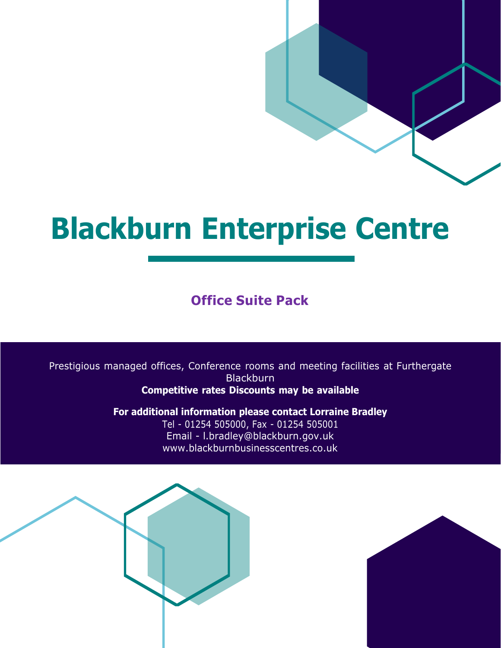# **Blackburn Enterprise Centre**

## **Office Suite Pack**

Prestigious managed offices, Conference rooms and meeting facilities at Furthergate **Blackburn Competitive rates Discounts may be available**

> **For additional information please contact Lorraine Bradley** Tel - 01254 505000, Fax - 01254 505001 Email - [l.bradley@blackburn.gov.uk](mailto:l.bradley@blackburn.gov.uk) [www.blackburnbusinesscentres.co.uk](http://www.blackburnbusinesscentres.co.uk/)



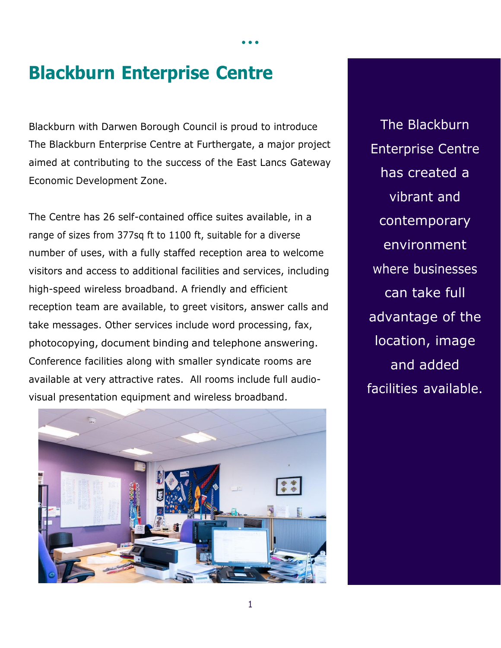# **Blackburn Enterprise Centre**

Blackburn with Darwen Borough Council is proud to introduce The Blackburn Enterprise Centre at Furthergate, a major project aimed at contributing to the success of the East Lancs Gateway Economic Development Zone.

• • •

The Centre has 26 self-contained office suites available, in a range of sizes from 377sq ft to 1100 ft, suitable for a diverse number of uses, with a fully staffed reception area to welcome visitors and access to additional facilities and services, including high-speed wireless broadband. A friendly and efficient reception team are available, to greet visitors, answer calls and take messages. Other services include word processing, fax, photocopying, document binding and telephone answering. Conference facilities along with smaller syndicate rooms are available at very attractive rates. All rooms include full audiovisual presentation equipment and wireless broadband.



The Blackburn Enterprise Centre has created a vibrant and contemporary environment where businesses can take full advantage of the location, image and added facilities available.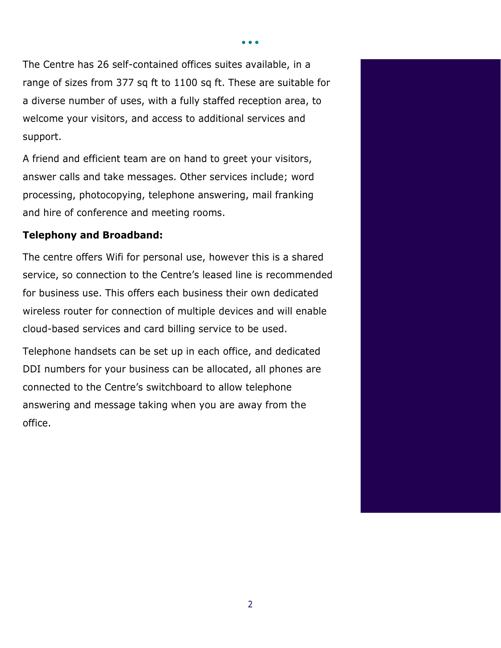The Centre has 26 self-contained offices suites available, in a range of sizes from 377 sq ft to 1100 sq ft. These are suitable for a diverse number of uses, with a fully staffed reception area, to welcome your visitors, and access to additional services and support.

• • •

A friend and efficient team are on hand to greet your visitors, answer calls and take messages. Other services include; word processing, photocopying, telephone answering, mail franking and hire of conference and meeting rooms.

#### **Telephony and Broadband:**

The centre offers Wifi for personal use, however this is a shared service, so connection to the Centre's leased line is recommended for business use. This offers each business their own dedicated wireless router for connection of multiple devices and will enable cloud-based services and card billing service to be used.

Telephone handsets can be set up in each office, and dedicated DDI numbers for your business can be allocated, all phones are connected to the Centre's switchboard to allow telephone answering and message taking when you are away from the office.

2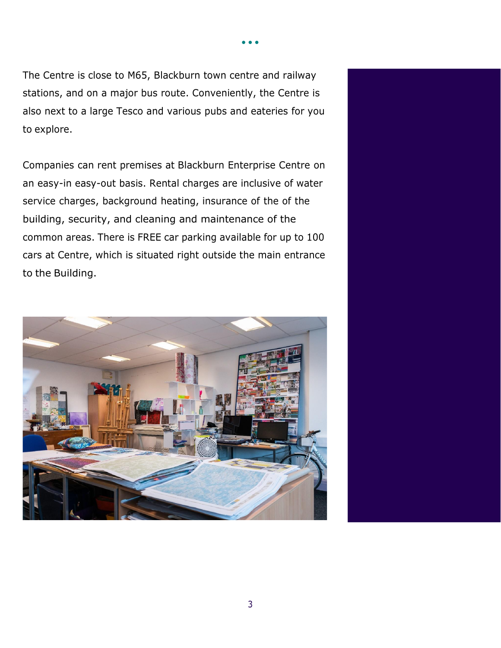The Centre is close to M65, Blackburn town centre and railway stations, and on a major bus route. Conveniently, the Centre is also next to a large Tesco and various pubs and eateries for you to explore.

• • •

Companies can rent premises at Blackburn Enterprise Centre on an easy-in easy-out basis. Rental charges are inclusive of water service charges, background heating, insurance of the of the building, security, and cleaning and maintenance of the common areas. There is FREE car parking available for up to 100 cars at Centre, which is situated right outside the main entrance to the Building.

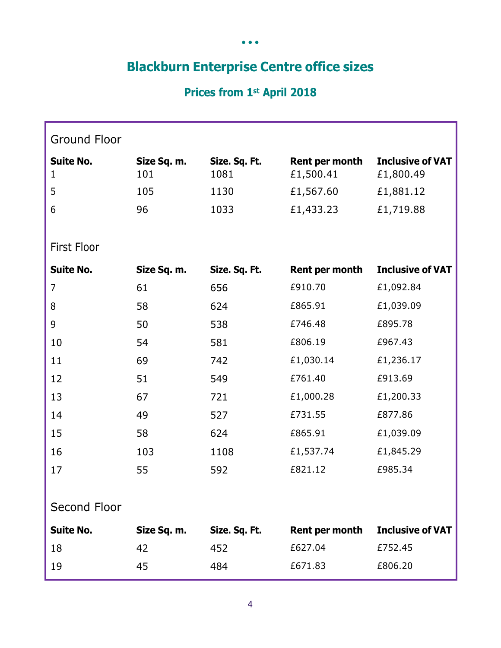# **Blackburn Enterprise Centre office sizes**

• • •

### **Prices from 1st April 2018**

| <b>Ground Floor</b>   |                    |                       |                             |                                      |
|-----------------------|--------------------|-----------------------|-----------------------------|--------------------------------------|
| <b>Suite No.</b><br>1 | Size Sq. m.<br>101 | Size. Sq. Ft.<br>1081 | Rent per month<br>£1,500.41 | <b>Inclusive of VAT</b><br>£1,800.49 |
| 5                     | 105                | 1130                  | £1,567.60                   | £1,881.12                            |
| 6                     | 96                 | 1033                  | £1,433.23                   | £1,719.88                            |
|                       |                    |                       |                             |                                      |
| <b>First Floor</b>    |                    |                       |                             |                                      |
| <b>Suite No.</b>      | Size Sq. m.        | Size. Sq. Ft.         | <b>Rent per month</b>       | <b>Inclusive of VAT</b>              |
| 7                     | 61                 | 656                   | £910.70                     | £1,092.84                            |
| 8                     | 58                 | 624                   | £865.91                     | £1,039.09                            |
| 9                     | 50                 | 538                   | £746.48                     | £895.78                              |
| 10                    | 54                 | 581                   | £806.19                     | £967.43                              |
| 11                    | 69                 | 742                   | £1,030.14                   | £1,236.17                            |
| 12                    | 51                 | 549                   | £761.40                     | £913.69                              |
| 13                    | 67                 | 721                   | £1,000.28                   | £1,200.33                            |
| 14                    | 49                 | 527                   | £731.55                     | £877.86                              |
| 15                    | 58                 | 624                   | £865.91                     | £1,039.09                            |
| 16                    | 103                | 1108                  | £1,537.74                   | £1,845.29                            |
| 17                    | 55                 | 592                   | £821.12                     | £985.34                              |
|                       |                    |                       |                             |                                      |
| Second Floor          |                    |                       |                             |                                      |
| <b>Suite No.</b>      | Size Sq. m.        | Size. Sq. Ft.         | Rent per month              | <b>Inclusive of VAT</b>              |
| 18                    | 42                 | 452                   | £627.04                     | £752.45                              |
| 19                    | 45                 | 484                   | £671.83                     | £806.20                              |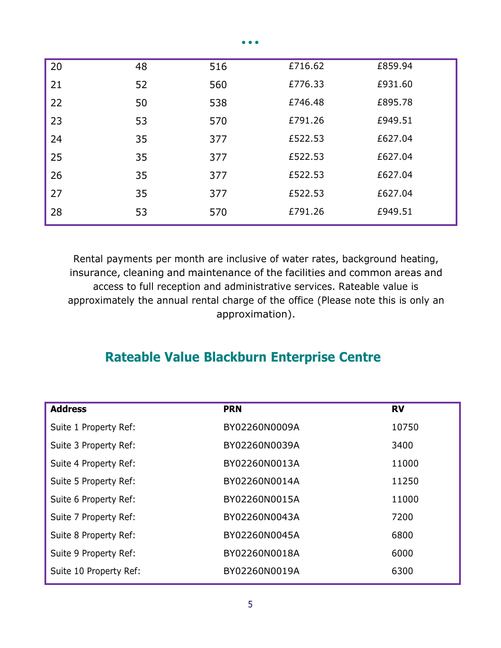| 20 | 48 | 516 | £716.62 | £859.94 |  |
|----|----|-----|---------|---------|--|
| 21 | 52 | 560 | £776.33 | £931.60 |  |
| 22 | 50 | 538 | £746.48 | £895.78 |  |
| 23 | 53 | 570 | £791.26 | £949.51 |  |
| 24 | 35 | 377 | £522.53 | £627.04 |  |
| 25 | 35 | 377 | £522.53 | £627.04 |  |
| 26 | 35 | 377 | £522.53 | £627.04 |  |
| 27 | 35 | 377 | £522.53 | £627.04 |  |
| 28 | 53 | 570 | £791.26 | £949.51 |  |
|    |    |     |         |         |  |

• • •

Rental payments per month are inclusive of water rates, background heating, insurance, cleaning and maintenance of the facilities and common areas and access to full reception and administrative services. Rateable value is approximately the annual rental charge of the office (Please note this is only an approximation).

### **Rateable Value Blackburn Enterprise Centre**

| <b>Address</b>         | <b>PRN</b>    | <b>RV</b> |
|------------------------|---------------|-----------|
| Suite 1 Property Ref:  | BY02260N0009A | 10750     |
| Suite 3 Property Ref:  | BY02260N0039A | 3400      |
| Suite 4 Property Ref:  | BY02260N0013A | 11000     |
| Suite 5 Property Ref:  | BY02260N0014A | 11250     |
| Suite 6 Property Ref:  | BY02260N0015A | 11000     |
| Suite 7 Property Ref:  | BY02260N0043A | 7200      |
| Suite 8 Property Ref:  | BY02260N0045A | 6800      |
| Suite 9 Property Ref:  | BY02260N0018A | 6000      |
| Suite 10 Property Ref: | BY02260N0019A | 6300      |